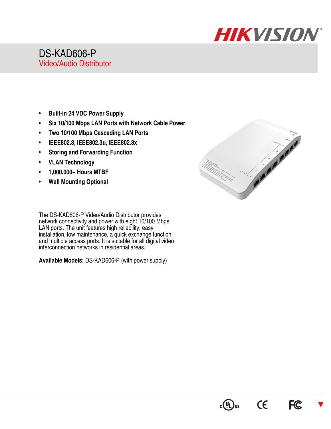

## DS-KAD606-P Video/Audio Distributor

- **Built-in 24 VDC Power Supply**
- **Six 10/100 Mbps LAN Ports with Network Cable Power**
- **Two 10/100 Mbps Cascading LAN Ports**
- **IEEE802.3, IEEE802.3u, IEEE802.3x**
- **Storing and Forwarding Function**
- **VLAN Technology**
- **1,000,000+ Hours MTBF**
- **Wall Mounting Optional**



The DS-KAD606-P Video/Audio Distributor provides network connectivity and power with eight 10/100 Mbps LAN ports. The unit features high reliability, easy installation, low maintenance, a quick exchange function, and multiple access ports. It is suitable for all digital video interconnection networks in residential areas.

**Available Models:** DS-KAD606-P (with power supply)





**CE** 

 $\blacktriangledown$